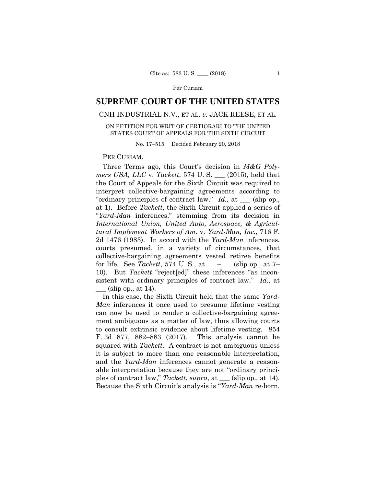# **SUPREME COURT OF THE UNITED STATES**

# CNH INDUSTRIAL N.V., ET AL. *v.* JACK REESE, ET AL.

### ON PETITION FOR WRIT OF CERTIORARI TO THE UNITED STATES COURT OF APPEALS FOR THE SIXTH CIRCUIT

No. 17–515. Decided February 20, 2018

## PER CURIAM.

Three Terms ago, this Court's decision in *M&G Polymers USA, LLC* v. *Tackett*, 574 U. S. \_\_\_ (2015), held that the Court of Appeals for the Sixth Circuit was required to interpret collective-bargaining agreements according to "ordinary principles of contract law." *Id.,* at \_\_\_ (slip op., at 1). Before *Tackett*, the Sixth Circuit applied a series of "*Yard-Man* inferences," stemming from its decision in *International Union, United Auto, Aerospace, & Agricultural Implement Workers of Am.* v. *Yard-Man, Inc.*, 716 F. 2d 1476 (1983). In accord with the *Yard-Man* inferences, courts presumed, in a variety of circumstances, that collective-bargaining agreements vested retiree benefits for life. See *Tackett*, 574 U. S., at \_\_\_–\_\_\_ (slip op., at 7– 10). But *Tackett* "reject[ed]" these inferences "as inconsistent with ordinary principles of contract law." *Id.*, at  $\alpha$  (slip op., at 14).

In this case, the Sixth Circuit held that the same *Yard-Man* inferences it once used to presume lifetime vesting can now be used to render a collective-bargaining agreement ambiguous as a matter of law, thus allowing courts to consult extrinsic evidence about lifetime vesting. 854 F. 3d 877, 882–883 (2017). This analysis cannot be squared with *Tackett*. A contract is not ambiguous unless it is subject to more than one reasonable interpretation, and the *Yard-Man* inferences cannot generate a reasonable interpretation because they are not "ordinary principles of contract law," *Tackett*, *supra*, at \_\_\_ (slip op., at 14). Because the Sixth Circuit's analysis is "*Yard-Man* re-born,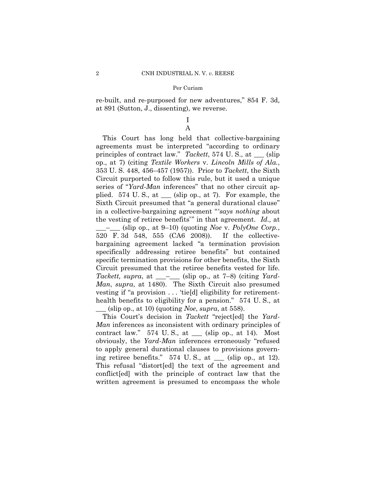re-built, and re-purposed for new adventures," 854 F. 3d, at 891 (Sutton, J., dissenting), we reverse.

> I A

 plied. 574 U. S., at \_\_\_ (slip op., at 7)*.* For example, the This Court has long held that collective-bargaining agreements must be interpreted "according to ordinary principles of contract law." *Tackett*, 574 U. S., at \_\_\_ (slip op., at 7) (citing *Textile Workers* v. *Lincoln Mills of Ala.*, 353 U. S. 448, 456–457 (1957)). Prior to *Tackett*, the Sixth Circuit purported to follow this rule, but it used a unique series of "*Yard-Man* inferences" that no other circuit ap-Sixth Circuit presumed that "a general durational clause" in a collective-bargaining agreement " '*says nothing* about the vesting of retiree benefits'" in that agreement. *Id.,* at \_\_\_–\_\_\_ (slip op., at 9–10) (quoting *Noe* v. *PolyOne Corp.*, 520 F. 3d 548, 555 (CA6 2008)). If the collectivebargaining agreement lacked "a termination provision specifically addressing retiree benefits" but contained specific termination provisions for other benefits, the Sixth Circuit presumed that the retiree benefits vested for life. *Tackett, supra*, at \_\_\_–\_\_\_ (slip op., at 7–8) (citing *Yard-Man*, *supra*, at 1480). The Sixth Circuit also presumed vesting if "a provision . . . 'tie[d] eligibility for retirementhealth benefits to eligibility for a pension." 574 U.S., at  $\frac{\text{lslip op.}}{\text{at }10}$  (quoting *Noe*, *supra*, at 558).

This Court's decision in *Tackett* "reject[ed] the *Yard-Man* inferences as inconsistent with ordinary principles of contract law."  $574$  U.S., at  $\_\_\_\$  (slip op., at 14). Most obviously, the *Yard-Man* inferences erroneously "refused to apply general durational clauses to provisions governing retiree benefits."  $574$  U.S., at  $\_\_\_\$  (slip op., at 12). This refusal "distort[ed] the text of the agreement and conflict[ed] with the principle of contract law that the written agreement is presumed to encompass the whole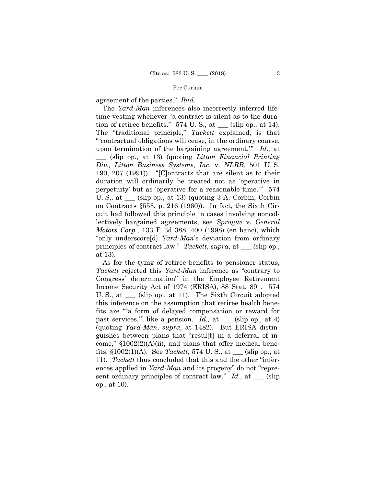agreement of the parties." *Ibid.*

 The *Yard-Man* inferences also incorrectly inferred lifetime vesting whenever "a contract is silent as to the duration of retiree benefits." 574 U. S., at \_\_\_ (slip op., at 14). The "traditional principle," *Tackett* explained, is that "'contractual obligations will cease, in the ordinary course, upon termination of the bargaining agreement.'" *Id.,* at \_\_\_ (slip op., at 13) (quoting *Litton Financial Printing Div., Litton Business Systems, Inc.* v. *NLRB*, 501 U. S. 190, 207 (1991)). "[C]ontracts that are silent as to their duration will ordinarily be treated not as 'operative in perpetuity' but as 'operative for a reasonable time.'" 574 U. S., at \_\_\_ (slip op., at 13) (quoting 3 A. Corbin, Corbin on Contracts §553, p. 216 (1960)). In fact, the Sixth Circuit had followed this principle in cases involving noncollectively bargained agreements, see *Sprague* v. *General Motors Corp.*, 133 F. 3d 388, 400 (1998) (en banc), which "only underscore[d] *Yard-Man*'s deviation from ordinary principles of contract law." *Tackett*, *supra*, at \_\_\_ (slip op., at 13).

sent ordinary principles of contract law." *Id.*, at \_\_\_ (slip As for the tying of retiree benefits to pensioner status, *Tackett* rejected this *Yard-Man* inference as "contrary to Congress' determination" in the Employee Retirement Income Security Act of 1974 (ERISA), 88 Stat. 891. 574 U. S., at \_\_\_ (slip op., at 11). The Sixth Circuit adopted this inference on the assumption that retiree health benefits are "'a form of delayed compensation or reward for past services," like a pension. *Id.*, at \_\_\_ (slip op., at 4) (quoting *Yard-Man*, *supra,* at 1482). But ERISA distinguishes between plans that "resul[t] in a deferral of income,"  $$1002(2)(A)(ii)$ , and plans that offer medical benefits, §1002(1)(A). See *Tackett*, 574 U. S., at \_\_\_ (slip op., at 11). *Tackett* thus concluded that this and the other "inferences applied in *Yard-Man* and its progeny" do not "repreop., at 10).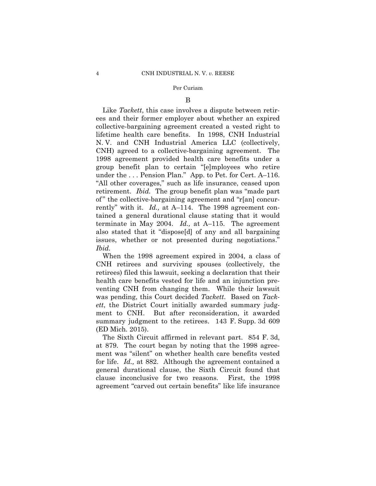#### B

 under the . . . Pension Plan." App. to Pet. for Cert. A–116. Like *Tackett*, this case involves a dispute between retirees and their former employer about whether an expired collective-bargaining agreement created a vested right to lifetime health care benefits. In 1998, CNH Industrial N. V. and CNH Industrial America LLC (collectively, CNH) agreed to a collective-bargaining agreement. The 1998 agreement provided health care benefits under a group benefit plan to certain "[e]mployees who retire "All other coverages," such as life insurance, ceased upon retirement. *Ibid.* The group benefit plan was "made part of " the collective-bargaining agreement and "r[an] concurrently" with it. *Id.,* at A–114. The 1998 agreement contained a general durational clause stating that it would terminate in May 2004. *Id.,* at A–115. The agreement also stated that it "dispose[d] of any and all bargaining issues, whether or not presented during negotiations." *Ibid.* 

When the 1998 agreement expired in 2004, a class of CNH retirees and surviving spouses (collectively, the retirees) filed this lawsuit, seeking a declaration that their health care benefits vested for life and an injunction preventing CNH from changing them. While their lawsuit was pending, this Court decided *Tackett*. Based on *Tackett*, the District Court initially awarded summary judgment to CNH. But after reconsideration, it awarded summary judgment to the retirees. 143 F. Supp. 3d 609 (ED Mich. 2015).

The Sixth Circuit affirmed in relevant part. 854 F. 3d, at 879. The court began by noting that the 1998 agreement was "silent" on whether health care benefits vested for life. *Id.,* at 882. Although the agreement contained a general durational clause, the Sixth Circuit found that clause inconclusive for two reasons. First, the 1998 agreement "carved out certain benefits" like life insurance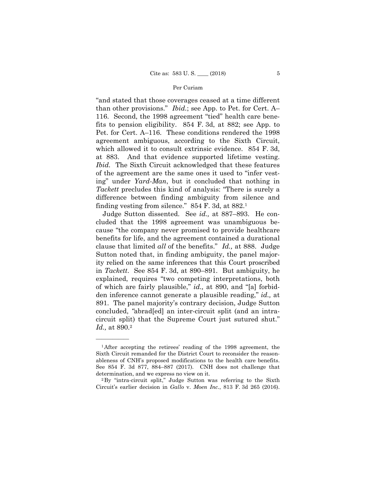"and stated that those coverages ceased at a time different than other provisions." *Ibid.*; see App. to Pet. for Cert. A– 116. Second, the 1998 agreement "tied" health care benefits to pension eligibility. 854 F. 3d, at 882; see App. to Pet. for Cert. A–116. These conditions rendered the 1998 agreement ambiguous, according to the Sixth Circuit, which allowed it to consult extrinsic evidence. 854 F. 3d, at 883. And that evidence supported lifetime vesting. *Ibid.* The Sixth Circuit acknowledged that these features of the agreement are the same ones it used to "infer vesting" under *Yard-Man*, but it concluded that nothing in *Tackett* precludes this kind of analysis: "There is surely a difference between finding ambiguity from silence and finding vesting from silence." 854 F. 3d, at 882.1

Judge Sutton dissented. See *id.,* at 887–893. He concluded that the 1998 agreement was unambiguous because "the company never promised to provide healthcare benefits for life, and the agreement contained a durational clause that limited *all* of the benefits." *Id.,* at 888. Judge Sutton noted that, in finding ambiguity, the panel majority relied on the same inferences that this Court proscribed in *Tackett*. See 854 F. 3d, at 890–891. But ambiguity, he explained, requires "two competing interpretations, both of which are fairly plausible," *id.,* at 890, and "[a] forbidden inference cannot generate a plausible reading," *id.,* at 891. The panel majority's contrary decision, Judge Sutton concluded, *"*abrad[ed] an inter-circuit split (and an intracircuit split) that the Supreme Court just sutured shut." *Id.,* at 890.2

——————

<sup>1</sup>After accepting the retirees' reading of the 1998 agreement, the Sixth Circuit remanded for the District Court to reconsider the reasonableness of CNH's proposed modifications to the health care benefits. See 854 F. 3d 877, 884–887 (2017). CNH does not challenge that

determination, and we express no view on it.<br><sup>2</sup>By "intra-circuit split," Judge Sutton was referring to the Sixth Circuit's earlier decision in *Gallo* v. *Moen Inc.*, 813 F. 3d 265 (2016).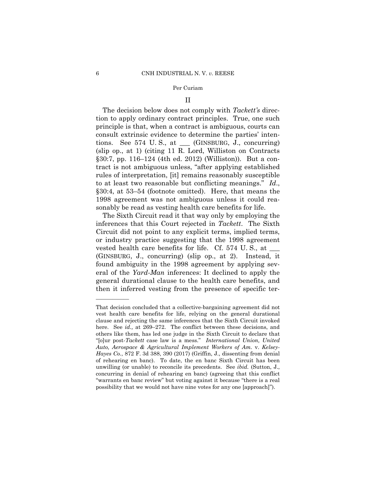#### II

The decision below does not comply with *Tackett's* direction to apply ordinary contract principles. True, one such principle is that, when a contract is ambiguous, courts can consult extrinsic evidence to determine the parties' intentions. See  $574$  U.S., at (GINSBURG, J., concurring) (slip op., at 1) (citing 11 R. Lord, Williston on Contracts §30:7, pp. 116–124 (4th ed. 2012) (Williston)). But a contract is not ambiguous unless, "after applying established rules of interpretation, [it] remains reasonably susceptible to at least two reasonable but conflicting meanings." *Id*., §30:4, at 53–54 (footnote omitted). Here, that means the 1998 agreement was not ambiguous unless it could reasonably be read as vesting health care benefits for life.

The Sixth Circuit read it that way only by employing the inferences that this Court rejected in *Tackett*. The Sixth Circuit did not point to any explicit terms, implied terms, or industry practice suggesting that the 1998 agreement vested health care benefits for life. Cf. 574 U.S., at  $\_\_$ (GINSBURG, J., concurring) (slip op., at 2). Instead, it found ambiguity in the 1998 agreement by applying several of the *Yard-Man* inferences: It declined to apply the general durational clause to the health care benefits, and then it inferred vesting from the presence of specific ter-

——————

 here. See *id.,* at 269–272. The conflict between these decisions, and That decision concluded that a collective-bargaining agreement did not vest health care benefits for life, relying on the general durational clause and rejecting the same inferences that the Sixth Circuit invoked others like them, has led one judge in the Sixth Circuit to declare that "[o]ur post-*Tackett* case law is a mess." *International Union, United Auto, Aerospace & Agricultural Implement Workers of Am.* v. *Kelsey-Hayes Co.*, 872 F. 3d 388, 390 (2017) (Griffin, J., dissenting from denial of rehearing en banc). To date, the en banc Sixth Circuit has been unwilling (or unable) to reconcile its precedents. See *ibid.* (Sutton, J., concurring in denial of rehearing en banc) (agreeing that this conflict "warrants en banc review" but voting against it because "there is a real possibility that we would not have nine votes for any one [approach]").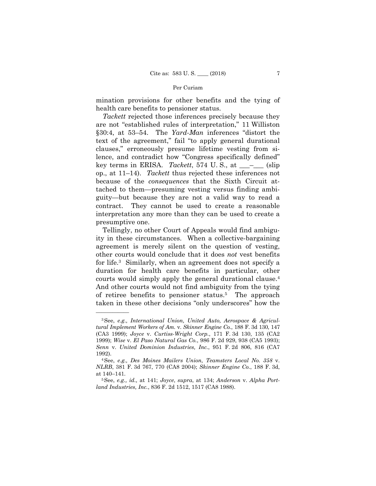mination provisions for other benefits and the tying of health care benefits to pensioner status.

 contract. They cannot be used to create a reasonable *Tackett* rejected those inferences precisely because they are not "established rules of interpretation," 11 Williston §30:4, at 53–54. The *Yard-Man* inferences "distort the text of the agreement," fail "to apply general durational clauses," erroneously presume lifetime vesting from silence, and contradict how "Congress specifically defined" key terms in ERISA. *Tackett*, 574 U.S., at \_\_<sup>\_</sup>\_\_\_ (slip op., at 11–14). *Tackett* thus rejected these inferences not because of the *consequences* that the Sixth Circuit attached to them—presuming vesting versus finding ambiguity—but because they are not a valid way to read a interpretation any more than they can be used to create a presumptive one.

 courts would simply apply the general durational clause.4 Tellingly, no other Court of Appeals would find ambiguity in these circumstances. When a collective-bargaining agreement is merely silent on the question of vesting, other courts would conclude that it does *not* vest benefits for life.3 Similarly, when an agreement does not specify a duration for health care benefits in particular, other And other courts would not find ambiguity from the tying of retiree benefits to pensioner status.5 The approach taken in these other decisions "only underscores" how the

——————

<sup>3</sup>See, *e.g., International Union, United Auto, Aerospace & Agricultural Implement Workers of Am.* v. *Skinner Engine Co.*, 188 F. 3d 130, 147 (CA3 1999); *Joyce* v. *Curtiss-Wright Corp.*, 171 F. 3d 130, 135 (CA2 1999); *Wise* v. *El Paso Natural Gas Co.*, 986 F. 2d 929, 938 (CA5 1993); *Senn* v. *United Dominion Industries, Inc.*, 951 F. 2d 806, 816 (CA7 1992). 4See, *e.g., Des Moines Mailers Union, Teamsters Local No. 358* v.

*NLRB*, 381 F. 3d 767, 770 (CA8 2004); *Skinner Engine Co.*, 188 F. 3d, at 140–141. 5See, *e.g., id.,* at 141; *Joyce*, *supra*, at 134; *Anderson* v. *Alpha Port-*

*land Industries, Inc.*, 836 F. 2d 1512, 1517 (CA8 1988).